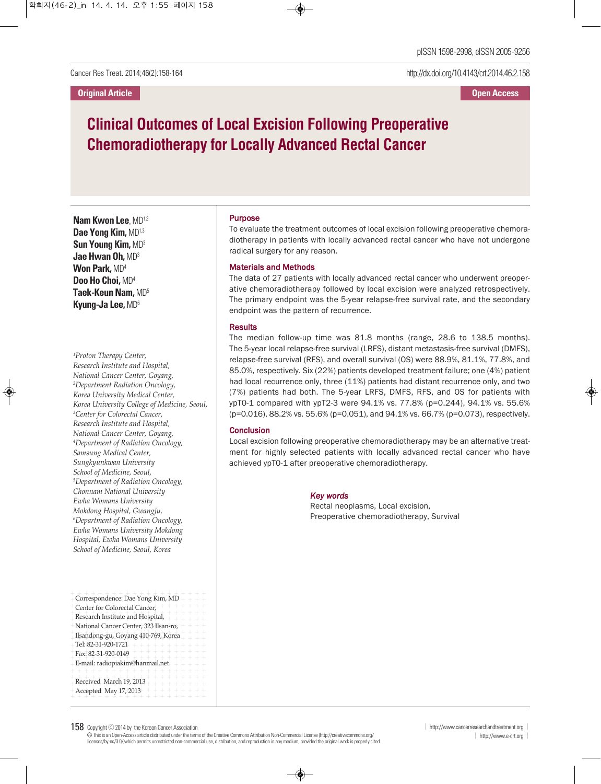http://dx.doi.org/10.4143/crt.2014.46.2.158

# **Clinical Outcomes of Local Excision Following Preoperative Chemoradiotherapy for Locally Advanced Rectal Cancer**

**Nam Kwon Lee**, MD1,2 **Dae Yong Kim,** MD1,3 **Sun Young Kim,** MD3 **Jae Hwan Oh,** MD3 **Won Park,** MD4 **Doo Ho Choi,** MD4 **Taek-Keun Nam,** MD5 **Kyung-Ja Lee,** MD6

*1 Proton Therapy Center, Research Institute and Hospital, National Cancer Center, Goyang, 2 Department Radiation Oncology, Korea University Medical Center, Korea University College of Medicine, Seoul, 3 Center for Colorectal Cancer, Research Institute and Hospital, National Cancer Center, Goyang, 4 Department of Radiation Oncology, Samsung Medical Center, Sungkyunkwan University School of Medicine, Seoul, 5 Department of Radiation Oncology, Chonnam National University Ewha Womans University Mokdong Hospital, Gwangju, 6 Department of Radiation Oncology, Ewha Womans University Mokdong Hospital, Ewha Womans University School of Medicine, Seoul, Korea*

| Correspondence: Dae Yong Kim, MD<br>$\leftarrow$ $\leftarrow$<br>Center for Colorectal Cancer,<br>Research Institute and Hospital,<br>$+ +$<br>National Cancer Center, 323 Ilsan-ro,<br>Ilsandong-gu, Goyang 410-769, Korea<br>Tel: 82-31-920-1721<br>$+ + + + + +$<br>Fax: 82-31-920-0149 |
|--------------------------------------------------------------------------------------------------------------------------------------------------------------------------------------------------------------------------------------------------------------------------------------------|
| E-mail: radiopiakim@hanmail.net $- + + + +$                                                                                                                                                                                                                                                |
| Received March 19, 2013<br>$+ + + + + +$<br>+Accepted May 17, 2013                                                                                                                                                                                                                         |

### Purpose

To evaluate the treatment outcomes of local excision following preoperative chemoradiotherapy in patients with locally advanced rectal cancer who have not undergone radical surgery for any reason.

#### Materials and Methods

The data of 27 patients with locally advanced rectal cancer who underwent preoperative chemoradiotherapy followed by local excision were analyzed retrospectively. The primary endpoint was the 5-year relapse-free survival rate, and the secondary endpoint was the pattern of recurrence.

### **Results**

The median follow-up time was 81.8 months (range, 28.6 to 138.5 months). The 5-year local relapse-free survival (LRFS), distant metastasis-free survival (DMFS), relapse-free survival (RFS), and overall survival (OS) were 88.9%, 81.1%, 77.8%, and 85.0%, respectively. Six (22%) patients developed treatment failure; one (4%) patient had local recurrence only, three (11%) patients had distant recurrence only, and two (7%) patients had both. The 5-year LRFS, DMFS, RFS, and OS for patients with ypT0-1 compared with ypT2-3 were 94.1% vs. 77.8% (p=0.244), 94.1% vs. 55.6% (p=0.016), 88.2% vs. 55.6% (p=0.051), and 94.1% vs. 66.7% (p=0.073), respectively.

### **Conclusion**

Local excision following preoperative chemoradiotherapy may be an alternative treatment for highly selected patients with locally advanced rectal cancer who have achieved ypT0-1 after preoperative chemoradiotherapy.

#### *Key words*

Rectal neoplasms, Local excision, Preoperative chemoradiotherapy, Survival

© This is an Open-Access article distributed under the terms of the Creative Commons Attribution Non-Commercial License (http://creativecommons.org/<br>licenses/by-nc/3.0/)which permits unrestricted non-commercial use, distr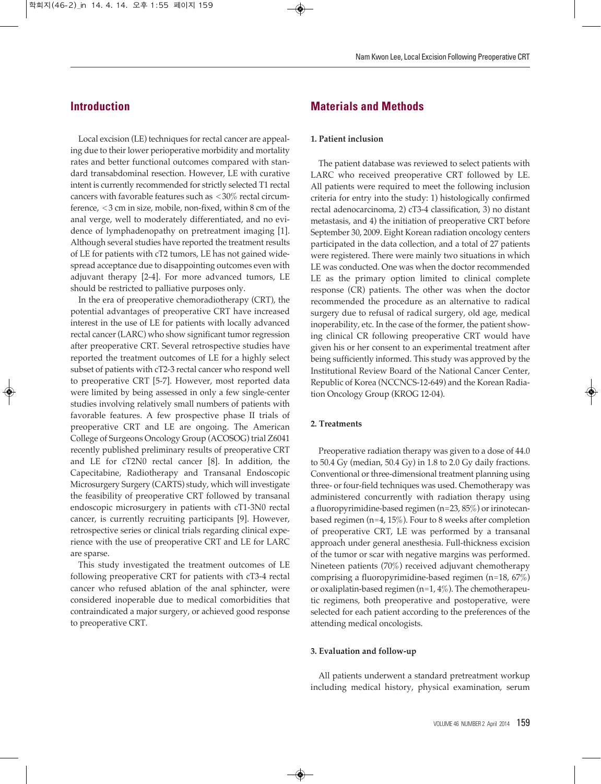Local excision (LE) techniques for rectal cancer are appealing due to their lower perioperative morbidity and mortality rates and better functional outcomes compared with standard transabdominal resection. However, LE with curative intent is currently recommended for strictly selected T1 rectal cancers with favorable features such as <30% rectal circumference, <3 cm in size, mobile, non-fixed, within 8 cm of the anal verge, well to moderately differentiated, and no evidence of lymphadenopathy on pretreatment imaging [1]. Although several studies have reported the treatment results of LE for patients with cT2 tumors, LE has not gained widespread acceptance due to disappointing outcomes even with adjuvant therapy [2-4]. For more advanced tumors, LE should be restricted to palliative purposes only.

In the era of preoperative chemoradiotherapy (CRT), the potential advantages of preoperative CRT have increased interest in the use of LE for patients with locally advanced rectal cancer (LARC) who show significant tumor regression after preoperative CRT. Several retrospective studies have reported the treatment outcomes of LE for a highly select subset of patients with cT2-3 rectal cancer who respond well to preoperative CRT [5-7]. However, most reported data were limited by being assessed in only a few single-center studies involving relatively small numbers of patients with favorable features. A few prospective phase II trials of preoperative CRT and LE are ongoing. The American College of Surgeons Oncology Group (ACOSOG) trial Z6041 recently published preliminary results of preoperative CRT and LE for cT2N0 rectal cancer [8]. In addition, the Capecitabine, Radiotherapy and Transanal Endoscopic Microsurgery Surgery (CARTS) study, which will investigate the feasibility of preoperative CRT followed by transanal endoscopic microsurgery in patients with cT1-3N0 rectal cancer, is currently recruiting participants [9]. However, retrospective series or clinical trials regarding clinical experience with the use of preoperative CRT and LE for LARC are sparse.

This study investigated the treatment outcomes of LE following preoperative CRT for patients with cT3-4 rectal cancer who refused ablation of the anal sphincter, were considered inoperable due to medical comorbidities that contraindicated a major surgery, or achieved good response to preoperative CRT.

# **Materials and Methods**

### **1. Patient inclusion**

The patient database was reviewed to select patients with LARC who received preoperative CRT followed by LE. All patients were required to meet the following inclusion criteria for entry into the study: 1) histologically confirmed rectal adenocarcinoma, 2) cT3-4 classification, 3) no distant metastasis, and 4) the initiation of preoperative CRT before September 30, 2009. Eight Korean radiation oncology centers participated in the data collection, and a total of 27 patients were registered. There were mainly two situations in which LE was conducted. One was when the doctor recommended LE as the primary option limited to clinical complete response (CR) patients. The other was when the doctor recommended the procedure as an alternative to radical surgery due to refusal of radical surgery, old age, medical inoperability, etc. In the case of the former, the patient showing clinical CR following preoperative CRT would have given his or her consent to an experimental treatment after being sufficiently informed. This study was approved by the Institutional Review Board of the National Cancer Center, Republic of Korea (NCCNCS-12-649) and the Korean Radiation Oncology Group (KROG 12-04).

### **2. Treatments**

Preoperative radiation therapy was given to a dose of 44.0 to 50.4 Gy (median, 50.4 Gy) in 1.8 to 2.0 Gy daily fractions. Conventional or three-dimensional treatment planning using three- or four-field techniques was used. Chemotherapy was administered concurrently with radiation therapy using a fluoropyrimidine-based regimen (n=23, 85%) or irinotecanbased regimen (n=4, 15%). Four to 8 weeks after completion of preoperative CRT, LE was performed by a transanal approach under general anesthesia. Full-thickness excision of the tumor or scar with negative margins was performed. Nineteen patients (70%) received adjuvant chemotherapy comprising a fluoropyrimidine-based regimen (n=18, 67%) or oxaliplatin-based regimen ( $n=1, 4\%$ ). The chemotherapeutic regimens, both preoperative and postoperative, were selected for each patient according to the preferences of the attending medical oncologists.

#### **3. Evaluation and follow-up**

All patients underwent a standard pretreatment workup including medical history, physical examination, serum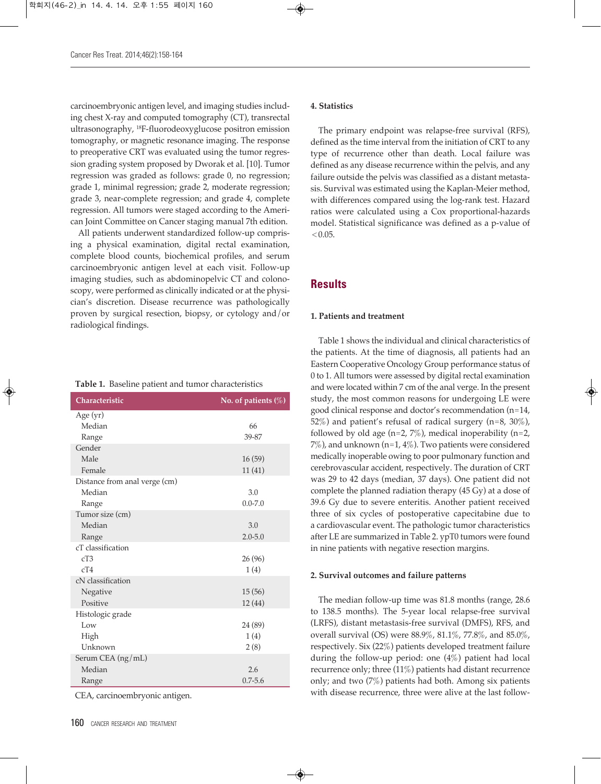carcinoembryonic antigen level, and imaging studies including chest X-ray and computed tomography (CT), transrectal ultrasonography, <sup>18</sup> F-fluorodeoxyglucose positron emission tomography, or magnetic resonance imaging. The response to preoperative CRT was evaluated using the tumor regression grading system proposed by Dworak et al. [10]. Tumor regression was graded as follows: grade 0, no regression; grade 1, minimal regression; grade 2, moderate regression; grade 3, near-complete regression; and grade 4, complete regression. All tumors were staged according to the American Joint Committee on Cancer staging manual 7th edition.

All patients underwent standardized follow-up comprising a physical examination, digital rectal examination, complete blood counts, biochemical profiles, and serum carcinoembryonic antigen level at each visit. Follow-up imaging studies, such as abdominopelvic CT and colonoscopy, were performed as clinically indicated or at the physician's discretion. Disease recurrence was pathologically proven by surgical resection, biopsy, or cytology and/or radiological findings.

|  |  |  |  | <b>Table 1.</b> Baseline patient and tumor characteristics |
|--|--|--|--|------------------------------------------------------------|
|--|--|--|--|------------------------------------------------------------|

| Characteristic                | No. of patients $(\%)$ |
|-------------------------------|------------------------|
| Age (yr)                      |                        |
| Median                        | 66                     |
| Range                         | 39-87                  |
| Gender                        |                        |
| Male                          | 16(59)                 |
| Female                        | 11(41)                 |
| Distance from anal verge (cm) |                        |
| Median                        | 3.0                    |
| Range                         | $0.0 - 7.0$            |
| Tumor size (cm)               |                        |
| Median                        | 3.0                    |
| Range                         | $2.0 - 5.0$            |
| cT classification             |                        |
| cT3                           | 26(96)                 |
| cT4                           | 1(4)                   |
| cN classification             |                        |
| Negative                      | 15(56)                 |
| Positive                      | 12(44)                 |
| Histologic grade              |                        |
| Low                           | 24 (89)                |
| High                          | 1(4)                   |
| Unknown                       | 2(8)                   |
| Serum CEA (ng/mL)             |                        |
| Median                        | 2.6                    |
| Range                         | $0.7 - 5.6$            |

CEA, carcinoembryonic antigen.

#### **4. Statistics**

The primary endpoint was relapse-free survival (RFS), defined as the time interval from the initiation of CRT to any type of recurrence other than death. Local failure was defined as any disease recurrence within the pelvis, and any failure outside the pelvis was classified as a distant metastasis. Survival was estimated using the Kaplan-Meier method, with differences compared using the log-rank test. Hazard ratios were calculated using a Cox proportional-hazards model. Statistical significance was defined as a p-value of  $< 0.05.$ 

### **Results**

### **1. Patients and treatment**

Table 1 shows the individual and clinical characteristics of the patients. At the time of diagnosis, all patients had an Eastern Cooperative Oncology Group performance status of 0 to 1. All tumors were assessed by digital rectal examination and were located within 7 cm of the anal verge. In the present study, the most common reasons for undergoing LE were good clinical response and doctor's recommendation (n=14, 52%) and patient's refusal of radical surgery (n=8, 30%), followed by old age (n=2,  $7\%$ ), medical inoperability (n=2,  $7\%$ ), and unknown (n=1, 4%). Two patients were considered medically inoperable owing to poor pulmonary function and cerebrovascular accident, respectively. The duration of CRT was 29 to 42 days (median, 37 days). One patient did not complete the planned radiation therapy (45 Gy) at a dose of 39.6 Gy due to severe enteritis. Another patient received three of six cycles of postoperative capecitabine due to a cardiovascular event. The pathologic tumor characteristics after LE are summarized in Table 2. ypT0 tumors were found in nine patients with negative resection margins.

#### **2. Survival outcomes and failure patterns**

The median follow-up time was 81.8 months (range, 28.6 to 138.5 months). The 5-year local relapse-free survival (LRFS), distant metastasis-free survival (DMFS), RFS, and overall survival (OS) were 88.9%, 81.1%, 77.8%, and 85.0%, respectively. Six (22%) patients developed treatment failure during the follow-up period: one (4%) patient had local recurrence only; three (11%) patients had distant recurrence only; and two (7%) patients had both. Among six patients with disease recurrence, three were alive at the last follow-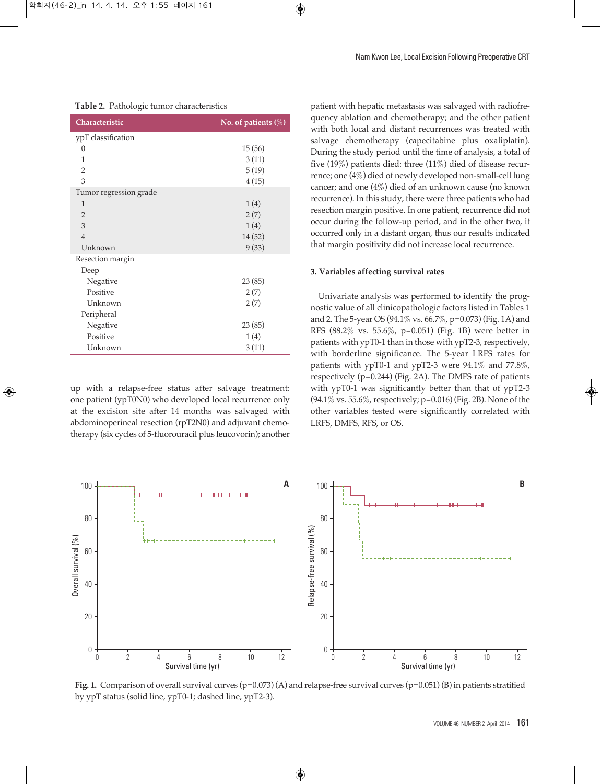| Characteristic         | No. of patients $(\%)$ |
|------------------------|------------------------|
| ypT classification     |                        |
| 0                      | 15(56)                 |
| 1                      | 3(11)                  |
| $\overline{2}$         | 5(19)                  |
| 3                      | 4(15)                  |
| Tumor regression grade |                        |
| 1                      | 1(4)                   |
| $\overline{2}$         | 2(7)                   |
| 3                      | 1(4)                   |
| $\overline{4}$         | 14(52)                 |
| Unknown                | 9(33)                  |
| Resection margin       |                        |
| Deep                   |                        |
| Negative               | 23(85)                 |
| Positive               | 2(7)                   |
| Unknown                | 2(7)                   |
| Peripheral             |                        |
| Negative               | 23(85)                 |
| Positive               | 1(4)                   |
| Unknown                | 3(11)                  |

**Table 2.** Pathologic tumor characteristics

up with a relapse-free status after salvage treatment: one patient (ypT0N0) who developed local recurrence only at the excision site after 14 months was salvaged with abdominoperineal resection (rpT2N0) and adjuvant chemotherapy (six cycles of 5-fluorouracil plus leucovorin); another patient with hepatic metastasis was salvaged with radiofrequency ablation and chemotherapy; and the other patient with both local and distant recurrences was treated with salvage chemotherapy (capecitabine plus oxaliplatin). During the study period until the time of analysis, a total of five (19%) patients died: three (11%) died of disease recurrence; one (4%) died of newly developed non-small-cell lung cancer; and one (4%) died of an unknown cause (no known recurrence). In this study, there were three patients who had resection margin positive. In one patient, recurrence did not occur during the follow-up period, and in the other two, it occurred only in a distant organ, thus our results indicated that margin positivity did not increase local recurrence.

#### **3. Variables affecting survival rates**

Univariate analysis was performed to identify the prognostic value of all clinicopathologic factors listed in Tables 1 and 2. The 5-year OS (94.1% vs. 66.7%, p=0.073) (Fig. 1A) and RFS (88.2% vs. 55.6%, p=0.051) (Fig. 1B) were better in patients with ypT0-1 than in those with ypT2-3, respectively, with borderline significance. The 5-year LRFS rates for patients with ypT0-1 and ypT2-3 were 94.1% and 77.8%, respectively  $(p=0.244)$  (Fig. 2A). The DMFS rate of patients with ypT0-1 was significantly better than that of ypT2-3 (94.1% vs. 55.6%, respectively; p=0.016) (Fig. 2B). None of the other variables tested were significantly correlated with LRFS, DMFS, RFS, or OS.



**Fig. 1.** Comparison of overall survival curves (p=0.073) (A) and relapse-free survival curves (p=0.051) (B) in patients stratified by ypT status (solid line, ypT0-1; dashed line, ypT2-3).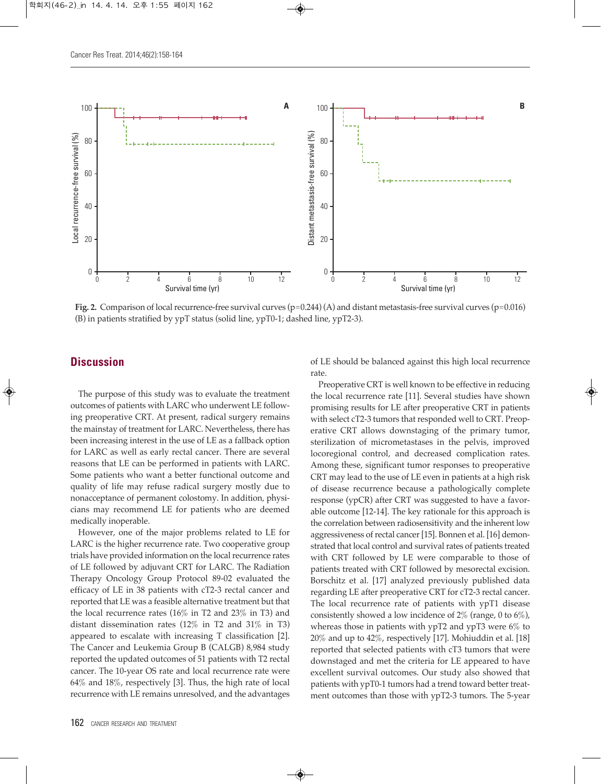

**Fig. 2.** Comparison of local recurrence-free survival curves (p=0.244) (A) and distant metastasis-free survival curves (p=0.016) (B) in patients stratified by ypT status (solid line, ypT0-1; dashed line, ypT2-3).

# **Discussion**

The purpose of this study was to evaluate the treatment outcomes of patients with LARC who underwent LE following preoperative CRT. At present, radical surgery remains the mainstay of treatment for LARC. Nevertheless, there has been increasing interest in the use of LE as a fallback option for LARC as well as early rectal cancer. There are several reasons that LE can be performed in patients with LARC. Some patients who want a better functional outcome and quality of life may refuse radical surgery mostly due to nonacceptance of permanent colostomy. In addition, physicians may recommend LE for patients who are deemed medically inoperable.

However, one of the major problems related to LE for LARC is the higher recurrence rate. Two cooperative group trials have provided information on the local recurrence rates of LE followed by adjuvant CRT for LARC. The Radiation Therapy Oncology Group Protocol 89-02 evaluated the efficacy of LE in 38 patients with cT2-3 rectal cancer and reported that LE was a feasible alternative treatment but that the local recurrence rates (16% in T2 and 23% in T3) and distant dissemination rates (12% in T2 and 31% in T3) appeared to escalate with increasing T classification [2]. The Cancer and Leukemia Group B (CALGB) 8,984 study reported the updated outcomes of 51 patients with T2 rectal cancer. The 10-year OS rate and local recurrence rate were 64% and 18%, respectively [3]. Thus, the high rate of local recurrence with LE remains unresolved, and the advantages

of LE should be balanced against this high local recurrence rate.

Preoperative CRT is well known to be effective in reducing the local recurrence rate [11]. Several studies have shown promising results for LE after preoperative CRT in patients with select cT2-3 tumors that responded well to CRT. Preoperative CRT allows downstaging of the primary tumor, sterilization of micrometastases in the pelvis, improved locoregional control, and decreased complication rates. Among these, significant tumor responses to preoperative CRT may lead to the use of LE even in patients at a high risk of disease recurrence because a pathologically complete response (ypCR) after CRT was suggested to have a favorable outcome [12-14]. The key rationale for this approach is the correlation between radiosensitivity and the inherent low aggressiveness of rectal cancer [15]. Bonnen et al. [16] demonstrated that local control and survival rates of patients treated with CRT followed by LE were comparable to those of patients treated with CRT followed by mesorectal excision. Borschitz et al. [17] analyzed previously published data regarding LE after preoperative CRT for cT2-3 rectal cancer. The local recurrence rate of patients with ypT1 disease consistently showed a low incidence of  $2\%$  (range, 0 to  $6\%$ ), whereas those in patients with ypT2 and ypT3 were 6% to 20% and up to 42%, respectively [17]. Mohiuddin et al. [18] reported that selected patients with cT3 tumors that were downstaged and met the criteria for LE appeared to have excellent survival outcomes. Our study also showed that patients with ypT0-1 tumors had a trend toward better treatment outcomes than those with ypT2-3 tumors. The 5-year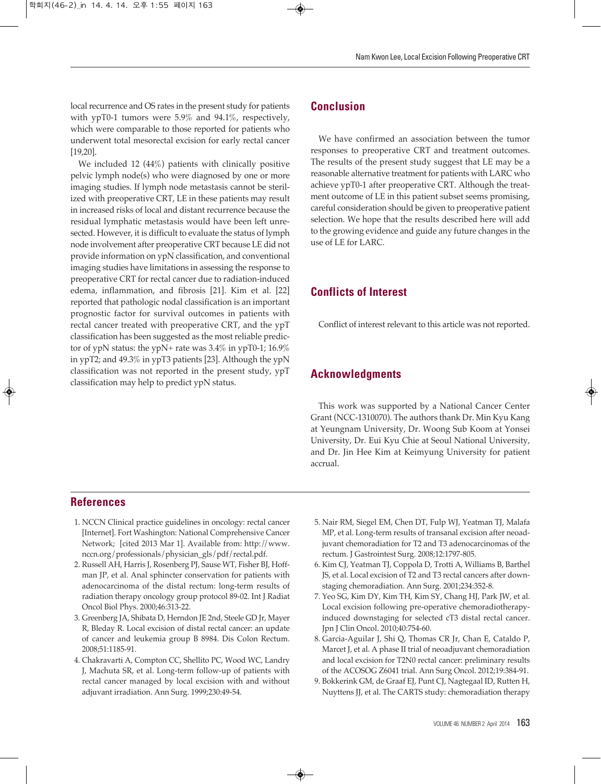local recurrence and OS rates in the present study for patients with ypT0-1 tumors were 5.9% and 94.1%, respectively, which were comparable to those reported for patients who underwent total mesorectal excision for early rectal cancer [19,20].

We included 12 (44%) patients with clinically positive pelvic lymph node(s) who were diagnosed by one or more imaging studies. If lymph node metastasis cannot be sterilized with preoperative CRT, LE in these patients may result in increased risks of local and distant recurrence because the residual lymphatic metastasis would have been left unresected. However, it is difficult to evaluate the status of lymph node involvement after preoperative CRT because LE did not provide information on ypN classification, and conventional imaging studies have limitations in assessing the response to preoperative CRT for rectal cancer due to radiation-induced edema, inflammation, and fibrosis [21]. Kim et al. [22] reported that pathologic nodal classification is an important prognostic factor for survival outcomes in patients with rectal cancer treated with preoperative CRT, and the ypT classification has been suggested as the most reliable predictor of ypN status: the ypN+ rate was 3.4% in ypT0-1; 16.9% in ypT2; and 49.3% in ypT3 patients [23]. Although the ypN classification was not reported in the present study, ypT classification may help to predict ypN status.

# **Conclusion**

We have confirmed an association between the tumor responses to preoperative CRT and treatment outcomes. The results of the present study suggest that LE may be a reasonable alternative treatment for patients with LARC who achieve ypT0-1 after preoperative CRT. Although the treatment outcome of LE in this patient subset seems promising, careful consideration should be given to preoperative patient selection. We hope that the results described here will add to the growing evidence and guide any future changes in the use of LE for LARC.

# **Conflicts of Interest**

Conflict of interest relevant to this article was not reported.

# **Acknowledgments**

This work was supported by a National Cancer Center Grant (NCC-1310070). The authors thank Dr. Min Kyu Kang at Yeungnam University, Dr. Woong Sub Koom at Yonsei University, Dr. Eui Kyu Chie at Seoul National University, and Dr. Jin Hee Kim at Keimyung University for patient accrual.

## **References**

- 1. NCCN Clinical practice guidelines in oncology: rectal cancer [Internet]. Fort Washington: National Comprehensive Cancer Network; [cited 2013 Mar 1]. Available from: http://www. nccn.org/professionals/physician\_gls/pdf/rectal.pdf.
- 2. Russell AH, Harris J, Rosenberg PJ, Sause WT, Fisher BJ, Hoffman JP, et al. Anal sphincter conservation for patients with adenocarcinoma of the distal rectum: long-term results of radiation therapy oncology group protocol 89-02. Int J Radiat Oncol Biol Phys. 2000;46:313-22.
- 3. Greenberg JA, Shibata D, Herndon JE 2nd, Steele GD Jr, Mayer R, Bleday R. Local excision of distal rectal cancer: an update of cancer and leukemia group B 8984. Dis Colon Rectum. 2008;51:1185-91.
- 4. Chakravarti A, Compton CC, Shellito PC, Wood WC, Landry J, Machuta SR, et al. Long-term follow-up of patients with rectal cancer managed by local excision with and without adjuvant irradiation. Ann Surg. 1999;230:49-54.
- 5. Nair RM, Siegel EM, Chen DT, Fulp WJ, Yeatman TJ, Malafa MP, et al. Long-term results of transanal excision after neoadjuvant chemoradiation for T2 and T3 adenocarcinomas of the rectum. J Gastrointest Surg. 2008;12:1797-805.
- 6. Kim CJ, Yeatman TJ, Coppola D, Trotti A, Williams B, Barthel JS, et al. Local excision of T2 and T3 rectal cancers after downstaging chemoradiation. Ann Surg. 2001;234:352-8.
- 7. Yeo SG, Kim DY, Kim TH, Kim SY, Chang HJ, Park JW, et al. Local excision following pre-operative chemoradiotherapyinduced downstaging for selected cT3 distal rectal cancer. Jpn J Clin Oncol. 2010;40:754-60.
- 8. Garcia-Aguilar J, Shi Q, Thomas CR Jr, Chan E, Cataldo P, Marcet J, et al. A phase II trial of neoadjuvant chemoradiation and local excision for T2N0 rectal cancer: preliminary results of the ACOSOG Z6041 trial. Ann Surg Oncol. 2012;19:384-91.
- 9. Bokkerink GM, de Graaf EJ, Punt CJ, Nagtegaal ID, Rutten H, Nuyttens JJ, et al. The CARTS study: chemoradiation therapy